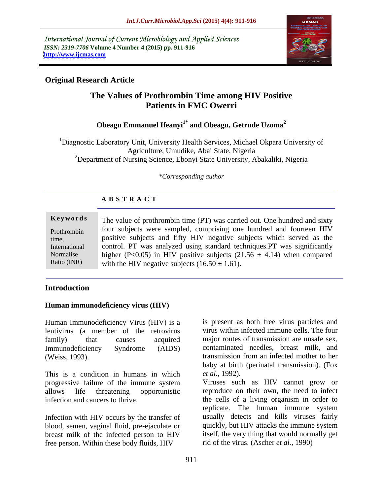International Journal of Current Microbiology and Applied Sciences *ISSN: 2319-7706* **Volume 4 Number 4 (2015) pp. 911-916 <http://www.ijcmas.com>**



# **Original Research Article**

# **The Values of Prothrombin Time among HIV Positive Patients in FMC Owerri**

# **Obeagu Emmanuel Ifeanyi1\* and Obeagu, Getrude Uzoma<sup>2</sup>**

1Diagnostic Laboratory Unit, University Health Services, Michael Okpara University of Agriculture, Umudike, Abai State, Nigeria <sup>2</sup>Department of Nursing Science, Ebonyi State University, Abakaliki, Nigeria

*\*Corresponding author*

## **A B S T R A C T**

|               | <b>Keywords</b> The value of prothrombin time (PT) was carried out. One hundred and sixty |  |  |
|---------------|-------------------------------------------------------------------------------------------|--|--|
| Prothrombin   | four subjects were sampled, comprising one hundred and fourteen HIV                       |  |  |
| time,         | positive subjects and fifty HIV negative subjects which served as the                     |  |  |
| International | control. PT was analyzed using standard techniques. PT was significantly                  |  |  |
| Normalise     | higher (P<0.05) in HIV positive subjects (21.56 $\pm$ 4.14) when compared                 |  |  |
| Ratio (INR)   | with the HIV negative subjects $(16.50 \pm 1.61)$ .                                       |  |  |

## **Introduction**

### **Human immunodeficiency virus (HIV)**

Human Immunodeficiency Virus (HIV) is a lentivirus (a member of the retrovirus family) that causes acquired major routes of transmission are unsafe sex, Immunodeficiency Syndrome (AIDS) contaminated needles, breast milk, and (Weiss, 1993). transmission from an infected mother to her

This is a condition in humans in which *et al.*, 1992). progressive failure of the immune system

Infection with HIV occurs by the transfer of blood, semen, vaginal fluid, pre-ejaculate or breast milk of the infected person to HIV free person. Within these body fluids, HIV

is present as both free virus particles and virus within infected immune cells. The four transmission from an infected mother to her baby at birth (perinatal transmission). (Fox *et al.*, 1992).

allows life threatening opportunistic reproduce on their own, the need to infect infection and cancers to thrive. the cells of a living organism in order to Viruses such as HIV cannot grow or replicate. The human immune system usually detects and kills viruses fairly quickly, but HIV attacks the immune system itself, the very thing that would normally get rid of the virus. (Ascher *et al.,* 1990)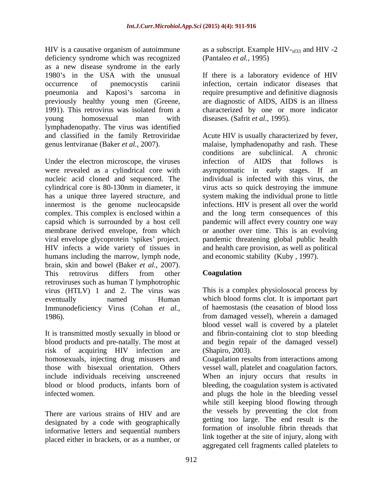HIV is a causative organism of autoimmune as a subscript. Example HIV-<sub>sf33</sub> and HIV-2 deficiency syndrome which was recognized as a new disease syndrome in the early 1980's in the USA with the unusual If there is a laboratory evidence of HIV occurrence of pnemocystis carinii infection, certain indicator diseases that pneumonia and Kaposi's sarcoma in previously healthy young men (Greene, 1991). This retrovirus was isolated from a characterized by one or more indicator young homosexual man with diseases. (Safrit *et al.*, 1995). lymphadenopathy. The virus was identified

Under the electron microscope, the viruses infection of AIDS that follows is were revealed as a cylindrical core with asymptomatic in early stages. If an humans including the marrow, lymph node, brain, skin and bowel (Baker *et al.,* 2007). This retrovirus differs from other **Coagulation** retroviruses such as human T lymphotrophic virus (HTLV) 1 and 2. The virus was eventually named Human which blood forms clot. It is important part Immunodeficiency Virus (Cohan *et al.,* 1986). from damaged vessel), wherein a damaged

risk of acquiring HIV infection are

There are various strains of HIV and are designated by a code with geographically informative letters and sequential numbers placed either in brackets, or as a number, or (Pantaleo *et al.,* 1995)

require presumptive and definitive diagnosis are diagnostic of AIDS, AIDS is an illness diseases. (Safrit *et al.*, 1995).

and classified in the family Retroviridae Acute HIV is usually characterized by fever, genus lentviranae (Baker *et al.,* 2007). malaise, lymphadenopathy and rash. These nucleic acid cloned and sequenced. The individual is infected with this virus, the cylindrical core is 80-130nm in diameter, it virus acts so quick destroying the immune has a unique three layered structure, and system making the individual prone to little innermost is the genome nucleocapside infections. HIV is present all over the world complex. This complex is enclosed within a and the long term consequences of this capsid which is surrounded by a host cell pandemic will affect every country one way membrane derived envelope, from which or another over time. This is an evolving viral envelope glycoprotein 'spikes' project. pandemic threatening global public health HIV infects a wide variety of tissues in and health care provision, as well as political conditions are subclinical. A chronic infection of AIDS that follows is asymptomatic in early stages. If and economic stability (Kuby , 1997).

# **Coagulation**

It is transmitted mostly sexually in blood or and fibrin-containing clot to stop bleeding blood products and pre-natally. The most at and begin repair of the damaged vessel) This is a complex physiolosocal process by of haemostasis (the ceasation of blood loss blood vessel wall is covered by a platelet (Shapiro, 2003).

homosexuals, injecting drug misusers and Coagulation results from interactions among those with bisexual orientation. Others vessel wall, platelet and coagulation factors. include individuals receiving unscreened When an injury occurs that results in blood or blood products, infants born of bleeding, the coagulation system is activated infected women. and plugs the hole in the bleeding vessel while still keeping blood flowing through the vessels by preventing the clot from getting too large. The end result is the formation of insoluble fibrin threads that link together at the site of injury, along with aggregated cell fragments called platelets to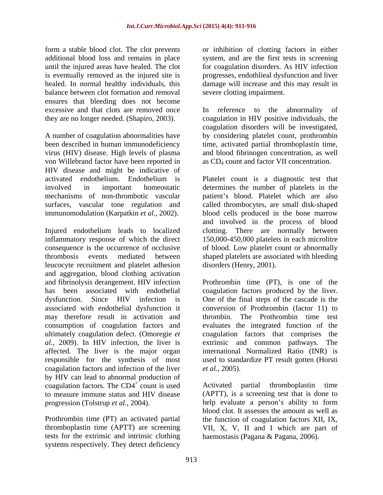balance between clot formation and removal ensures that bleeding does not become excessive and that clots are removed once In reference to the abnormality of

virus (HIV) disease. High levels of plasma von Willebrand factor have been reported in HIV disease and might be indicative of

Injured endothelium leads to localized clotting. There are normally between inflammatory response of which the direct 150,000-450,000 platelets in each microlitre consequence is the occurrence of occlusive of blood. Low platelet count or abnormally thrombosis events mediated between shaped platelets are associated with bleeding leucocyte recruitment and platelet adhesion and aggregation, blood clothing activation<br>and fibrinolysis derangement. HIV infection and fibrinolysis derangement. HIV infection Prothrombin time (PT), is one of the has been associated with endothelial coagulation factors produced by the liver. dysfunction. Since HIV infection is One of the final steps of the cascade is the associated with endothelial dysfunction it may therefore result in activation and consumption of coagulation factors and ultimately coagulation defect. (Omoregie *et*  coagulation factors that comprises the *al.,* 2009). In HIV infection, the liver is affected. The liver is the major organ international Normalized Ratio (INR) is responsible for the synthesis of most used to standardize PT result gotten (Horsti coagulation factors and infection of the liver *et al.*, 2005). by HIV can lead to abnormal production of coagulation factors. The  $CD4^+$  count is used Activated partial thromboplastin time to measure immune status and HIV disease (APTT), is a screening test that is done to

tests for the extrinsic and intrinsic clothing systems respectively. They detect deficiency

form a stable blood clot. The clot prevents or inhibition of clotting factors in either additional blood loss and remains in place system, and are the first tests in screening until the injured areas have healed. The clot for coagulation disorders. As HIV infection is eventually removed as the injured site is progresses, endothlieal dysfunction and liver healed. In normal healthy individuals, this damage will increase and this may result in severe clotting impairment.

they are no longer needed. (Shapiro, 2003). coagulation in HIV positive individuals, the A number of coagulation abnormalities have by considering platelet count, prothrombin been described in human immunodeficiency time, activated partial thromboplastin time, In reference to the abnormality of coagulation disorders will be investigated, and blood fibrinogen concentration, as well as CD4 count and factor VII concentration.

activated endothelium. Endothelium is Platelet count is a diagnostic test that involved in important homeostatic determines the number of platelets in the mechanisms of non-thrombotic vascular patient's blood. Platelet which are also surfaces, vascular tone regulation and called thrombocytes, are small disk-shaped immunomodulation (Karpatkin *et al.,* 2002). blood cells produced in the bone marrow and involved in the process of blood disorders (Henry, 2001).

> conversion of Prothrombin (factor 11) to The Prothrombin time test evaluates the integrated function of the extrinsic and common pathways. The *et al.,* 2005).

count is used here activated partial thromboplastin time progression (Tolstrup *et al.*, 2004). help evaluate a person's ability to form Prothrombin time (PT) an activated partial the function of coagulation factors XII, IX, thromboplastin time (APTT) are screening VII, X, V, II and I which are part of Activated partial thromboplastin time (APTT), is a screening test that is done to blood clot. It assesses the amount as well as haemostasis (Pagana & Pagana, 2006).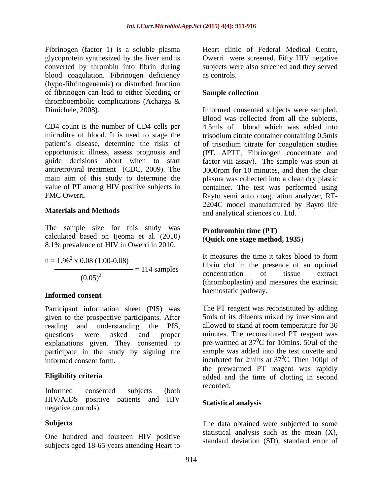Fibrinogen (factor 1) is a soluble plasma Heart clinic of Federal Medical Centre, glycoprotein synthesized by the liver and is **Owerri** were screened. Fifty HIV negative blood coagulation. Fibrinogen deficiency as controls. (hypo-fibrinogenemia) or disturbed function of fibrinogen can lead to either bleeding or thromboembolic complications (Acharga &

CD4 count is the number of CD4 cells per 4.5mls of blood which was added into microlitre of blood. It is used to stage the trisodium citrate container containing 0.5mls patient's disease, determine the risks of of trisodium citrate for coagulation studies opportunistic illness, assess prognosis and (PT, APTT, Fibrinogen concentrate and guide decisions about when to start factor viii assay). The sample was spun at antiretroviral treatment (CDC, 2009). The 3000rpm for 10 minutes, and then the clear main aim of this study to determine the plasma was collected into a clean dry plastic value of PT among HIV positive subjects in container. The test was performed using

The sample size for this study was calculated based on Ijeoma et al. (2010) 8.1% prevalence of HIV in Owerri in 2010.

 $(0.05)^2$ 

### **Informed consent**

Participant information sheet (PIS) was given to the prospective participants. After reading and understanding the PIS, allowed to stand at room temperature for 30 questions were asked and proper minutes. The reconstituted PT reagent was explanations given. They consented to participate in the study by signing the

Informed consented subjects (both recorded: HIV/AIDS positive patients and HIV negative controls).

One hundred and fourteen HIV positive subjects aged 18-65 years attending Heart to

converted by thrombin into fibrin during subjects were also screened and they served Heart clinic of Federal Medical Centre, Owerri were screened. Fifty HIV negative as controls.

## **Sample collection**

Dimichele, 2008). Informed consented subjects were sampled. FMC Owerri. Rayto semi auto coagulation analyzer, RT- **Materials and Methods** and analytical sciences co. Ltd. Blood was collected from all the subjects, 2204C model manufactured by Rayto life

### **Prothrombin time (PT)** (**Quick one stage method, 1935**)

 $n = 1.96^2$  x 0.08 (1.00-0.08) It measures the time it takes blood to form  $x 0.08 (1.00-0.08)$ <br> $= 114$  expresses to the presence of an optimal  $= 114$  samples  $= 114$  samples  $= 114$  samples  $= 114$  samples  $(0.05)^2$  concentration of ussue extract  $(0.05)^2$ It measures the time it takes blood to form concentration of tissue extract (thromboplastin) and measures the extrinsic haemostatic pathway.

informed consent form.  $\qquad \qquad$  incubated for 2mins at 37<sup>o</sup>C. Then 100 $\mu$ l of **Eligibility criteria** added and the time of clotting in second The PT reagent was reconstituted by adding 5mls of its diluents mixed by inversion and pre-warmed at  $37^0C$  for 10mins. 50µl of the  ${}^{0}C$  for 10mins. 50 $\mu$ l of the sample was added into the test cuvette and  $^{0}$ C. Then 100 $\mu$ l of the prewarmed PT reagent was rapidly recorded.

## **Statistical analysis**

Subjects **Subjects Subjects Subjects Subjected** to some statistical analysis such as the mean  $(X)$ , standard deviation (SD), standard error of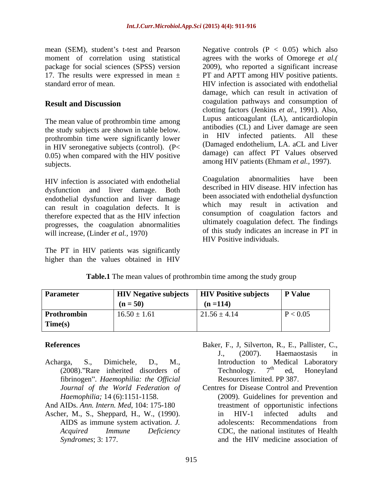mean (SEM), student's t-test and Pearson Megative controls  $(P < 0.05)$  which also

The mean value of prothrombin time among in HIV seronegative subjects (control). (P< 0.05) when compared with the HIV positive subjects. among HIV patients (Ehmam *et al.,* 1997).

dysfunction and liver damage. Both endothelial dysfunction and liver damage can result in coagulation defects. It is therefore expected that as the HIV infection progresses, the coagulation abnormalities will increase, (Linder *et al.,* 1970)

The PT in HIV patients was significantly higher than the values obtained in HIV

moment of correlation using statistical agrees with the works of Omorege *et al.(* package for social sciences (SPSS) version 2009), who reported a significant increase 17. The results were expressed in mean ± PT and APTT among HIV positive patients. standard error of mean. HIV infection is associated with endothelial **Result and Discussion Coagulation** pathways and consumption of the study subjects are shown in table below. antibodies (CL) and Liver damage are seen<br>prothrombin time were significantly lower in HIV infected patients. All these damage, which can result in activation of coagulation pathways and consumption of clotting factors (Jenkins *et al.,* 1991). Also, Lupus anticoagulant (LA), anticardiolopin antibodies (CL) and Liver damage are seen in HIV infected patients. All these (Damaged endothelium, LA. aCL and Liver damage) can affect PT Values observed

HIV infection is associated with endothelial Coagulation abnormalities have been described in HIV disease. HIV infection has been associated with endothelial dysfunction which may result in activation and consumption of coagulation factors and ultimately coagulation defect. The findings of this study indicates an increase in PT in HIV Positive individuals.

| <b>Parameter</b> | <b>HIV Negative subjects</b> | <b>HIV Positive subjects</b> | <b>P</b> Value |
|------------------|------------------------------|------------------------------|----------------|
|                  | $(n = 50)$                   | $(n = 114)$                  |                |
| Prothrombin      | $16.50 \pm 1.61$             | $21.56 \pm 4.14$             | P < 0.05       |
| Time(s)          |                              |                              |                |

### **Table.1** The mean values of prothrombin time among the study group

- fibrinogen . *Haemophilia: the Of icial Journal of the World Federation of*
- And AIDs. *Ann. Intern. Med*, 104: 175-180
- 
- **References** Baker, F., J, Silverton, R., E., Pallister, C., Acharga, S., Dimichele, D., M., Introduction to Medical Laboratory (2008)."Rare inherited disorders of Technology.  $7<sup>th</sup>$  ed. Honeyland J., (2007). Haemaostasis in Technology.  $7<sup>th</sup>$  ed, Honeyland  $th$  od Honovland ed, Honeyland Resources limited. PP 387.
- *Haemophilia;* 14 (6):1151-1158. (2009). Guidelines for prevention and Ascher, M., S., Sheppard, H., W., (1990). <br>in HIV-1 infected adults and AIDS as immune system activation. *J. Acquired Immune Deficiency* CDC, the national institutes of Health *Syndromes*; 3: 177. Centres for Disease Control and Prevention treastment of opportunistic infections in HIV-1 infected adults and adolescents: Recommendations from and the HIV medicine association of